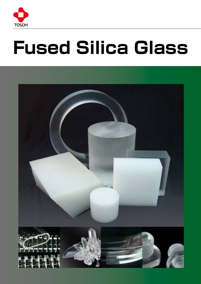

# **Fused Silica Glass**

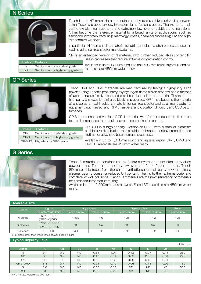## N Series



Tosoh N and NP materials are manufactured by fusing a high-purity silica powder using Tosoh's proprietary oxy-hydrogen flame fusion process. Thanks to its high purity, low aluminum content, and extremely low level of bubbles and inclusions, N has become the reference material for a broad range of applications, such as semiconductor manufacturing, metrology, optics, chemical processing, UV and hightemperature windows.

In particular, N is an enabling material for stringent plasma etch processes used in leading-edge semiconductor manufacturing.

NP is an enhanced version of N material, with further reduced alkali content for use in processes that require extreme contamination control.

|    | Grades Features                 |
|----|---------------------------------|
| N  | Semiconductor standard grade    |
| ΝP | Semiconductor high-purity grade |

Available in up to 1,200mm square and 580 mm round ingots, N and NP materials are 450mm wafer ready.

## OP Series



Tosoh OP-1 and OP-3 materials are manufactured by fusing a high-purity silica powder using Tosoh's proprietary oxy-hydrogen flame fusion process and a method of generating uniformly dispersed small bubbles inside the material. Thanks to its high purity and excellent infrared blocking properties, OP-1 has become the material of choice as a heat-insulating material for semiconductor and solar manufacturing equipment, such as epi and RTP chambers, and oxidation, diffusion, and CVD batch furnaces.

OP-3 is an enhanced version of OP-1 material, with further reduced alkali content for use in processes that require extreme contamination control.

| Grades         | Features                        |
|----------------|---------------------------------|
| $\bigcap P-1$  | Semiconductor standard grade    |
| $\bigcap P$ -3 | Semiconductor high-purity grade |
| OP-3HD         | High-density OP-3 grade         |

OP-3HD is a high-density version of OP-3, with a smaller diameter bubble size distribution that provides enhanced sealing properties and lifetime for advanced batch furnace processes.

Available in up to 1,000mm round and square ingots, OP-1, OP-3, and OP-3HD materials are 450mm wafer ready.

## S Series



Tosoh S material is manufactured by fusing a synthetic super high-purity silica powder using Tosoh's proprietary oxy-hydrogen flame fusion process. Tosoh SD material is fused from the same synthetic super high-purity powder using a plasma fusion process for reduced OH content. Thanks to their extreme purity and complete lack of inclusions, S and SD materials are the next generation of materials for semiconductor manufacturing.

Available in up to 1,200mm square ingots, S and SD materials are 450mm wafer ready.

| Available size   |                                             |               |               |               |               |              |  |  |
|------------------|---------------------------------------------|---------------|---------------|---------------|---------------|--------------|--|--|
| Grades           | <b>Ingots</b>                               |               | Large tubes   | Narrow tubes  | <b>Rods</b>   |              |  |  |
|                  | Diameter/Side (mm)                          | Diameter (mm) | Thickness(mm) | Diameter (mm) | Thickness(mm) | Diameter(mm) |  |  |
| N Series         | $\square$ 575~ $\square$ 1,200<br>○520~○580 | ~1480         | $~\sim$ 6     | $~1$ $~35$    | ~2            | $~1$ – 35    |  |  |
| <b>OP Series</b> | □550~□1.000<br>$O250 - O1,000$              | <b>NA</b>     | <b>NA</b>     | <b>NA</b>     | <b>NA</b>     | <b>NA</b>    |  |  |
| S Series         | $\sim\!\!\Box$ 1,200                        | $~1$ $~480$   | $~\sim$ 6     | $~1$ – 35     | ~2            | $~1$ $~35$   |  |  |

※For sizes other than those listed above, please inquire.

## Typical Impurity Level

|               |     |     |           |      |           |           |           |                 | Units: ppm |
|---------------|-----|-----|-----------|------|-----------|-----------|-----------|-----------------|------------|
| <b>Grades</b> | Al  | Сa  | Cu        | Fe   | <b>Na</b> |           |           | Mg <sup>1</sup> | <b>OH</b>  |
| N             | 9.1 | 0.9 | <b>ND</b> | 0.31 | .01       | 0.12      | 0.07      | 0.11            | 230        |
| <b>NP</b>     | 8.1 | 0.6 | <b>ND</b> | 0.12 | 0.14      | 0.05      | 0.05      | 0.04            | 270        |
| $OP-1$        | 9.1 | 1.0 | <b>ND</b> | 0.50 | 0.80      | 0.39      | 0.13      | 0.11            | 160        |
| OP-3, 3HD     | 8.3 | 0.7 | <b>ND</b> | 0.21 | 0.15      | 0.06      | 0.13      | 0.05            | 160        |
| S             | 1.6 | 0.0 | <b>ND</b> | 0.05 | 0.18      | <b>ND</b> | <b>ND</b> | <b>ND</b>       | 350        |
| <b>SD</b>     | 0.2 | 0.0 | <b>ND</b> | 0.06 | 0.22      | <b>ND</b> | <b>ND</b> | <b>ND</b>       | 50         |

2 ※ND (Not Detectable):≦ 0.01ppm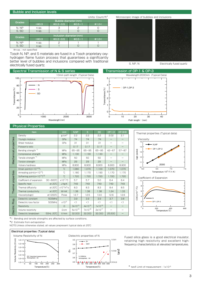#### Bubble and Inclusion levels

| Units: Count/ft |  |
|-----------------|--|
|                 |  |

| Grades | Bubble diameter (mm)    |                |              |                    |  |  |  |
|--------|-------------------------|----------------|--------------|--------------------|--|--|--|
|        | $<$ $\Phi$ 0.3          | $\Phi$ 0.3~0.5 | $\Phi$ 0.5~1 | $\Phi$ 1.0<        |  |  |  |
| N. NP  | n.sp.                   |                | 2            |                    |  |  |  |
| S. SD  | n.sp.                   |                |              |                    |  |  |  |
|        | Inclusion diameter (mm) |                |              |                    |  |  |  |
|        |                         |                |              |                    |  |  |  |
| Grades | $<$ $\Phi$ 0.3          | $\Phi$ 0.3~0.5 | $\Phi$ 0.5~1 | $\rightarrow$ 0.10 |  |  |  |
| N. NP  | n.sp.                   |                |              |                    |  |  |  |

※n.sp. : not specified

Tosoh N, NP, and S materials are fused in a Tosoh proprietary oxyhydrogen flame fusion process that guarantees a significantly better level of bubbles and inclusions compared with traditional electrically fused quartz.

#### Spectral Transmission of N & S series Transmission of OP-1 & OP-3



## 10mm path length (Typical Data) Wavelength:2000nm (Typical Data) 5 4 : OP-1,OP-3 Transmittance(%) Transmittance(%) 3 2 1 0







Electrically fused quartz

0 10 20 30 40 Path length : (mm)

### Physical Properties

|                       | Item                                                       |             | <b>Unit</b>                  | N.NP        | S.                 | <b>SD</b>   | OP-1,3    | OP-3HD    |
|-----------------------|------------------------------------------------------------|-------------|------------------------------|-------------|--------------------|-------------|-----------|-----------|
|                       | Density                                                    |             | g/cm <sup>3</sup>            | 2.2         | 2.2                | 2.2         | 2.02      | 2.1       |
|                       | Young's modulus                                            |             | GPa                          | 74          | 74                 | 74          |           |           |
|                       | Shear modulus                                              |             | GPa                          | 31          | 31                 | 31          |           |           |
|                       | Poisson's ratio                                            |             |                              | 0.17        | 0.17               | 0.17        |           |           |
|                       | Bending strength <sup>*1</sup>                             |             | MPa                          | $65 - 95$   | $65 - 95$          | $65 - 95$   | $42 - 67$ | $57 - 87$ |
|                       | Compressive strength                                       |             | <b>MPa</b>                   | 1,130       | 1,130              | 1,130       |           |           |
|                       | Tensile strength *1                                        |             | MPa                          | 50          | 50                 | 50          |           |           |
| Mechanical properties | Torsion strength                                           |             | <b>MPa</b>                   | 29          | 29                 | 29          |           |           |
|                       | Vickers hardness                                           |             | MPa                          | 8,900       | 8,900              | 8,900       | 8,900     | 8,900     |
|                       | Strain point( $n=10^{14.5}$ )                              |             | °C                           | 1,080       | 1.070              | 1,100       | 1,070     | 1,070     |
|                       | Annealing point( $\eta$ =10 <sup>13</sup> )                |             | 'n                           | 1,180       | 1.170              | 1,190       | 1,170     | 1,170     |
| Thermal properties    | Softening point( $\eta$ =10 <sup>7.6</sup> ) <sup>*2</sup> |             | °C                           | 1,720       | 1,720              | 1,720       | 1,720     | 1,720     |
|                       | Coefficient of expansion                                   | $30 - 600C$ | $x10^{-7}$ C                 | 5.7         | 5.7                | 5.0         | 6.4       | 6.4       |
|                       | Specific heat                                              | at 20°C     | J/kg·K                       | 749         | 749                | 749         | 749       | 749       |
|                       | Thermal diffusivity                                        | at 20°C     | $x10^{-7}$ m <sup>2</sup> /s | 8.3         | 8.3                | 8.3         | 8.4       | 8.5       |
|                       | Thermal conductivity                                       | at 20°C     | W/mK                         | 1.38        | 1.38               | 1.38        | 1.24      | 1.33      |
|                       | Viscosity(logn)                                            | at1200°C    | Poise                        | 12.7        | 12.5               | 13.0        | 12.6      | 12.6      |
|                       | Dielectric constant                                        | 500MHz      |                              | 3.9         | 3.9                | 3.9         | 3.7       | 3.8       |
| Prop.                 | Dielectric loss factor                                     | 500MHz      | $x10^{-3}$                   | $\leq$ 1    | $\leq$             | <1          | $<$ 1     | $\leq$ 1  |
|                       | Resistivity                                                |             | Ω                            | $3x10^{15}$ | $4x10^{15}$        | $1x10^{16}$ |           |           |
| Electric              | Volume resistivity                                         |             | $\Omega$ ·cm                 | $5x10^{16}$ | 7x10 <sup>16</sup> | $2x10^{17}$ |           |           |
|                       | Dielectric breakdown                                       | 50Hz, 20°C  | V/mm                         | 32,000      | 32,000             | 32,000      | 25,500    |           |



\*1 Bending and tensile strengths are affected by surface conditions.

\*2 Estimate from extrapolation

NOTE:Unless otherwise stated, all values prepresent typical data at 25℃



Fused silica glass is a good electrical insulator, retaining high resistivity and excellent highfrequency characteristics at elevated temperatures.

\* tanδ Limit of measurement : 1x10-3